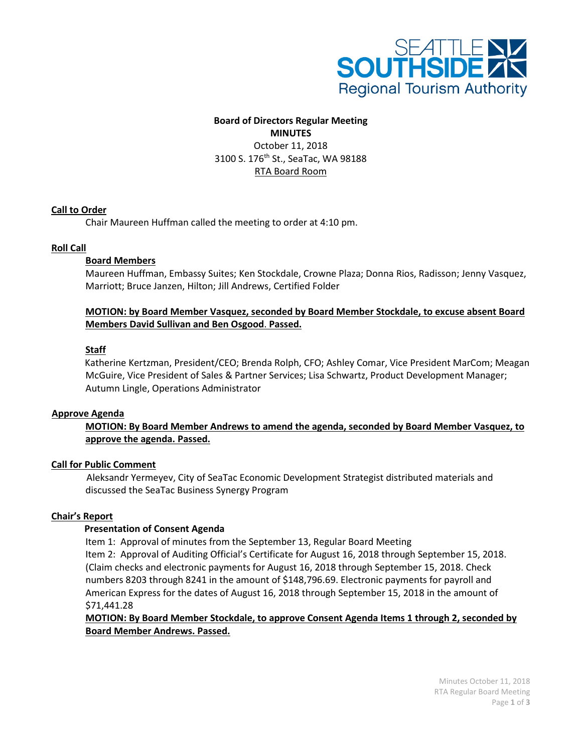

# **Board of Directors Regular Meeting**

**MINUTES** October 11, 2018 3100 S. 176<sup>th</sup> St., SeaTac, WA 98188 RTA Board Room

# **Call to Order**

Chair Maureen Huffman called the meeting to order at 4:10 pm.

## **Roll Call**

## **Board Members**

Maureen Huffman, Embassy Suites; Ken Stockdale, Crowne Plaza; Donna Rios, Radisson; Jenny Vasquez, Marriott; Bruce Janzen, Hilton; Jill Andrews, Certified Folder

# **MOTION: by Board Member Vasquez, seconded by Board Member Stockdale, to excuse absent Board Members David Sullivan and Ben Osgood**. **Passed.**

# **Staff**

Katherine Kertzman, President/CEO; Brenda Rolph, CFO; Ashley Comar, Vice President MarCom; Meagan McGuire, Vice President of Sales & Partner Services; Lisa Schwartz, Product Development Manager; Autumn Lingle, Operations Administrator

## **Approve Agenda**

# **MOTION: By Board Member Andrews to amend the agenda, seconded by Board Member Vasquez, to approve the agenda. Passed.**

## **Call for Public Comment**

 Aleksandr Yermeyev, City of SeaTac Economic Development Strategist distributed materials and discussed the SeaTac Business Synergy Program

## **Chair's Report**

## **Presentation of Consent Agenda**

Item 1: Approval of minutes from the September 13, Regular Board Meeting Item 2: Approval of Auditing Official's Certificate for August 16, 2018 through September 15, 2018. (Claim checks and electronic payments for August 16, 2018 through September 15, 2018. Check numbers 8203 through 8241 in the amount of \$148,796.69. Electronic payments for payroll and American Express for the dates of August 16, 2018 through September 15, 2018 in the amount of \$71,441.28

# **MOTION: By Board Member Stockdale, to approve Consent Agenda Items 1 through 2, seconded by Board Member Andrews. Passed.**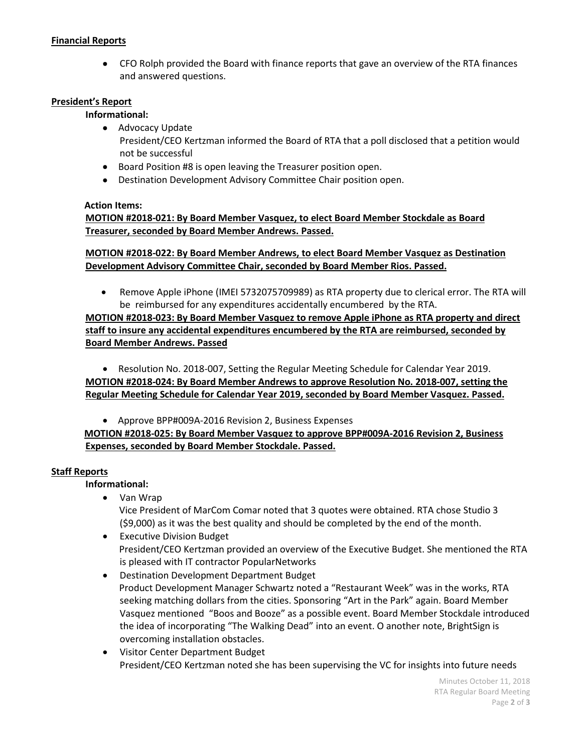## **Financial Reports**

• CFO Rolph provided the Board with finance reports that gave an overview of the RTA finances and answered questions.

## **President's Report**

## **Informational:**

- Advocacy Update President/CEO Kertzman informed the Board of RTA that a poll disclosed that a petition would not be successful
- Board Position #8 is open leaving the Treasurer position open.
- Destination Development Advisory Committee Chair position open.

## **Action Items:**

**MOTION #2018-021: By Board Member Vasquez, to elect Board Member Stockdale as Board Treasurer, seconded by Board Member Andrews. Passed.**

**MOTION #2018-022: By Board Member Andrews, to elect Board Member Vasquez as Destination Development Advisory Committee Chair, seconded by Board Member Rios. Passed.**

• Remove Apple iPhone (IMEI 5732075709989) as RTA property due to clerical error. The RTA will be reimbursed for any expenditures accidentally encumbered by the RTA.

**MOTION #2018-023: By Board Member Vasquez to remove Apple iPhone as RTA property and direct staff to insure any accidental expenditures encumbered by the RTA are reimbursed, seconded by Board Member Andrews. Passed**

• Resolution No. 2018-007, Setting the Regular Meeting Schedule for Calendar Year 2019. **MOTION #2018-024: By Board Member Andrews to approve Resolution No. 2018-007, setting the Regular Meeting Schedule for Calendar Year 2019, seconded by Board Member Vasquez. Passed.**

• Approve BPP#009A-2016 Revision 2, Business Expenses

 **MOTION #2018-025: By Board Member Vasquez to approve BPP#009A-2016 Revision 2, Business Expenses, seconded by Board Member Stockdale. Passed.**

## **Staff Reports**

## **Informational:**

- Van Wrap Vice President of MarCom Comar noted that 3 quotes were obtained. RTA chose Studio 3 (\$9,000) as it was the best quality and should be completed by the end of the month.
- Executive Division Budget President/CEO Kertzman provided an overview of the Executive Budget. She mentioned the RTA is pleased with IT contractor PopularNetworks
- Destination Development Department Budget Product Development Manager Schwartz noted a "Restaurant Week" was in the works, RTA seeking matching dollars from the cities. Sponsoring "Art in the Park" again. Board Member Vasquez mentioned "Boos and Booze" as a possible event. Board Member Stockdale introduced the idea of incorporating "The Walking Dead" into an event. O another note, BrightSign is overcoming installation obstacles.
- Visitor Center Department Budget President/CEO Kertzman noted she has been supervising the VC for insights into future needs